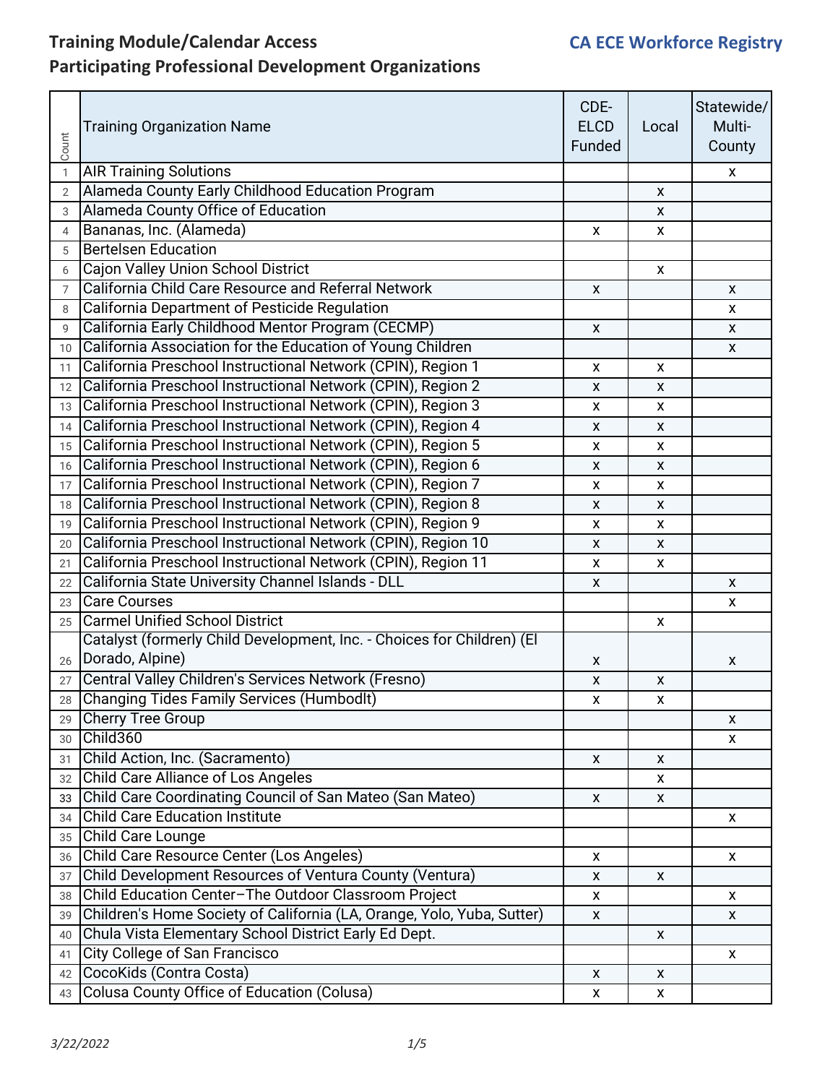| Count          | <b>Training Organization Name</b>                                      | CDE-<br><b>ELCD</b><br>Funded | Local        | Statewide/<br>Multi-<br>County |
|----------------|------------------------------------------------------------------------|-------------------------------|--------------|--------------------------------|
| $\mathbf{1}$   | <b>AIR Training Solutions</b>                                          |                               |              | X                              |
| $\overline{2}$ | Alameda County Early Childhood Education Program                       |                               | X            |                                |
| 3              | Alameda County Office of Education                                     |                               | X            |                                |
| $\overline{4}$ | Bananas, Inc. (Alameda)                                                | X                             | $\mathsf{x}$ |                                |
| 5              | <b>Bertelsen Education</b>                                             |                               |              |                                |
| 6              | Cajon Valley Union School District                                     |                               | X            |                                |
| $\overline{7}$ | California Child Care Resource and Referral Network                    | X                             |              | X                              |
| 8              | California Department of Pesticide Regulation                          |                               |              | X                              |
| 9              | California Early Childhood Mentor Program (CECMP)                      | $\mathsf{X}$                  |              | $\mathsf{X}$                   |
| 10             | California Association for the Education of Young Children             |                               |              | X                              |
| 11             | California Preschool Instructional Network (CPIN), Region 1            | X                             | X            |                                |
| 12             | California Preschool Instructional Network (CPIN), Region 2            | X                             | X            |                                |
| 13             | California Preschool Instructional Network (CPIN), Region 3            | X                             | X            |                                |
| 14             | California Preschool Instructional Network (CPIN), Region 4            | X                             | X            |                                |
| 15             | California Preschool Instructional Network (CPIN), Region 5            | X                             | X            |                                |
| 16             | California Preschool Instructional Network (CPIN), Region 6            | X                             | $\mathsf{x}$ |                                |
| 17             | California Preschool Instructional Network (CPIN), Region 7            | X                             | X            |                                |
| 18             | California Preschool Instructional Network (CPIN), Region 8            | X                             | X            |                                |
| 19             | California Preschool Instructional Network (CPIN), Region 9            | X                             | X            |                                |
| 20             | California Preschool Instructional Network (CPIN), Region 10           | X                             | X            |                                |
| 21             | California Preschool Instructional Network (CPIN), Region 11           | X                             | $\mathsf{x}$ |                                |
| 22             | California State University Channel Islands - DLL                      | X                             |              | X                              |
| 23             | <b>Care Courses</b>                                                    |                               |              | X                              |
| 25             | <b>Carmel Unified School District</b>                                  |                               | X            |                                |
|                | Catalyst (formerly Child Development, Inc. - Choices for Children) (El |                               |              |                                |
| 26             | Dorado, Alpine)                                                        | X                             |              | X                              |
| 27             | Central Valley Children's Services Network (Fresno)                    | X                             | X            |                                |
| 28             | <b>Changing Tides Family Services (Humbodlt)</b>                       | X                             | X            |                                |
| 29             | Cherry Tree Group                                                      |                               |              | X                              |
| 30             | Child360                                                               |                               |              | X                              |
| 31             | Child Action, Inc. (Sacramento)                                        | X                             | x            |                                |
| 32             | Child Care Alliance of Los Angeles                                     |                               | X.           |                                |
| 33             | Child Care Coordinating Council of San Mateo (San Mateo)               | X                             | X            |                                |
| 34             | <b>Child Care Education Institute</b>                                  |                               |              | $\pmb{\mathsf{X}}$             |
| 35             | Child Care Lounge                                                      |                               |              |                                |
| 36             | Child Care Resource Center (Los Angeles)                               | X                             |              | X                              |
| 37             | Child Development Resources of Ventura County (Ventura)                | X                             | X            |                                |
| 38             | Child Education Center-The Outdoor Classroom Project                   | X                             |              | X                              |
| 39             | Children's Home Society of California (LA, Orange, Yolo, Yuba, Sutter) | $\pmb{\mathsf{X}}$            |              | X                              |
| 40             | Chula Vista Elementary School District Early Ed Dept.                  |                               | X            |                                |
| 41             | City College of San Francisco                                          |                               |              | X                              |
|                | 42 CocoKids (Contra Costa)                                             | X                             | X            |                                |
| 43             | <b>Colusa County Office of Education (Colusa)</b>                      | X                             | X            |                                |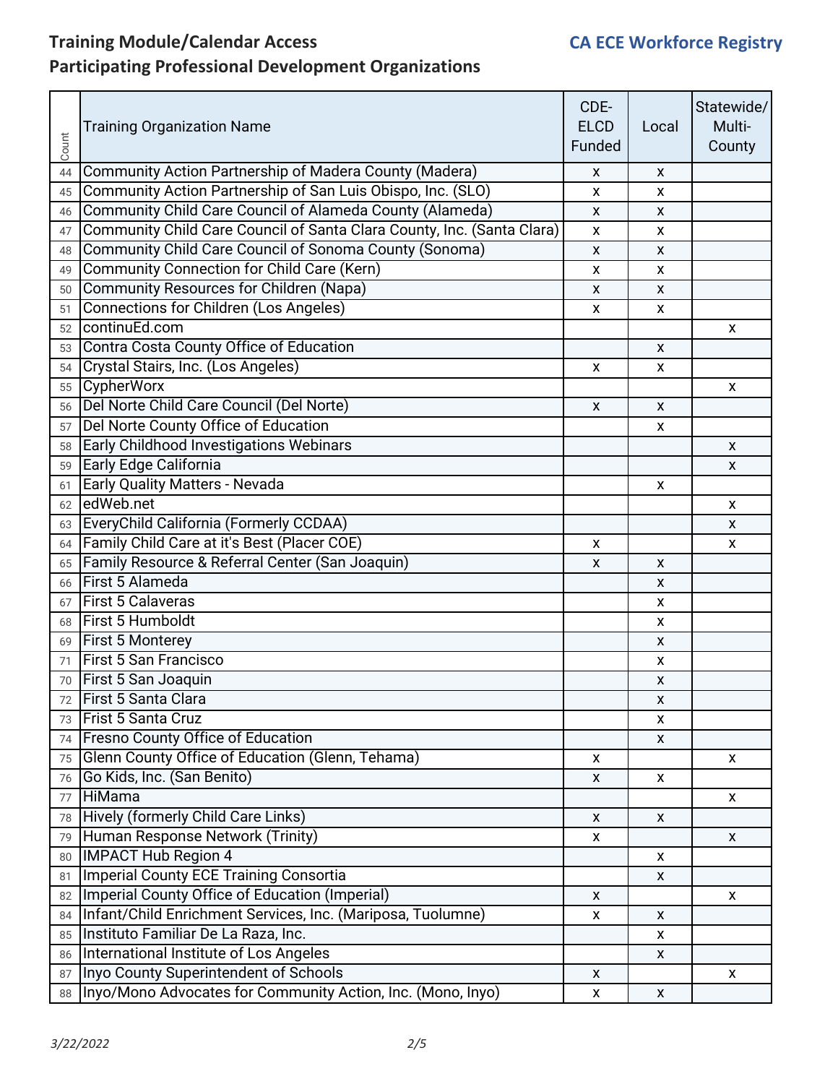| Count | <b>Training Organization Name</b>                                      | CDE-<br><b>ELCD</b><br>Funded | Local              | Statewide/<br>Multi-<br>County |
|-------|------------------------------------------------------------------------|-------------------------------|--------------------|--------------------------------|
| 44    | Community Action Partnership of Madera County (Madera)                 | X                             | X                  |                                |
| 45    | Community Action Partnership of San Luis Obispo, Inc. (SLO)            | X                             | x                  |                                |
| 46    | Community Child Care Council of Alameda County (Alameda)               | X                             | X                  |                                |
| 47    | Community Child Care Council of Santa Clara County, Inc. (Santa Clara) | X                             | X                  |                                |
| 48    | Community Child Care Council of Sonoma County (Sonoma)                 | X                             | X                  |                                |
| 49    | <b>Community Connection for Child Care (Kern)</b>                      | X                             | X                  |                                |
| 50    | Community Resources for Children (Napa)                                | X                             | X                  |                                |
| 51    | <b>Connections for Children (Los Angeles)</b>                          | X                             | X                  |                                |
| 52    | continuEd.com                                                          |                               |                    | X                              |
| 53    | Contra Costa County Office of Education                                |                               | X                  |                                |
| 54    | Crystal Stairs, Inc. (Los Angeles)                                     | x                             | X                  |                                |
| 55    | <b>CypherWorx</b>                                                      |                               |                    | X                              |
| 56    | Del Norte Child Care Council (Del Norte)                               | X                             | X                  |                                |
| 57    | Del Norte County Office of Education                                   |                               | X                  |                                |
| 58    | <b>Early Childhood Investigations Webinars</b>                         |                               |                    | X                              |
|       | 59 Early Edge California                                               |                               |                    | X                              |
| 61    | <b>Early Quality Matters - Nevada</b>                                  |                               | X                  |                                |
| 62    | edWeb.net                                                              |                               |                    | X                              |
|       | 63 EveryChild California (Formerly CCDAA)                              |                               |                    | X                              |
| 64    | Family Child Care at it's Best (Placer COE)                            | X                             |                    | X                              |
|       | 65 Family Resource & Referral Center (San Joaquin)                     | $\mathsf{x}$                  | X                  |                                |
| 66    | First 5 Alameda                                                        |                               | X                  |                                |
| 67    | <b>First 5 Calaveras</b>                                               |                               | X                  |                                |
|       | 68 First 5 Humboldt                                                    |                               | x                  |                                |
|       | 69 First 5 Monterey                                                    |                               | X                  |                                |
| 71    | <b>First 5 San Francisco</b>                                           |                               | x                  |                                |
|       | 70 First 5 San Joaquin                                                 |                               | X                  |                                |
| 72    | <b>First 5 Santa Clara</b>                                             |                               | X                  |                                |
| 73    | Frist 5 Santa Cruz                                                     |                               | X                  |                                |
| 74    | Fresno County Office of Education                                      |                               | X                  |                                |
| 75    | Glenn County Office of Education (Glenn, Tehama)                       | X                             |                    | X                              |
| 76    | Go Kids, Inc. (San Benito)                                             | X                             | X                  |                                |
| 77    | HiMama                                                                 |                               |                    | X                              |
|       | 78 Hively (formerly Child Care Links)                                  | X                             | X                  |                                |
| 79    | Human Response Network (Trinity)                                       | X                             |                    | X                              |
| 80    | <b>IMPACT Hub Region 4</b>                                             |                               | x                  |                                |
| 81    | <b>Imperial County ECE Training Consortia</b>                          |                               | X                  |                                |
| 82    | Imperial County Office of Education (Imperial)                         | $\mathsf{x}$                  |                    | X                              |
| 84    | Infant/Child Enrichment Services, Inc. (Mariposa, Tuolumne)            | $\pmb{\mathsf{X}}$            | X                  |                                |
| 85    | Instituto Familiar De La Raza, Inc.                                    |                               | X                  |                                |
| 86    | International Institute of Los Angeles                                 |                               | X                  |                                |
|       | 87   Inyo County Superintendent of Schools                             | $\pmb{\mathsf{X}}$            |                    | X                              |
|       | 88   Inyo/Mono Advocates for Community Action, Inc. (Mono, Inyo)       | $\pmb{\mathsf{x}}$            | $\pmb{\mathsf{X}}$ |                                |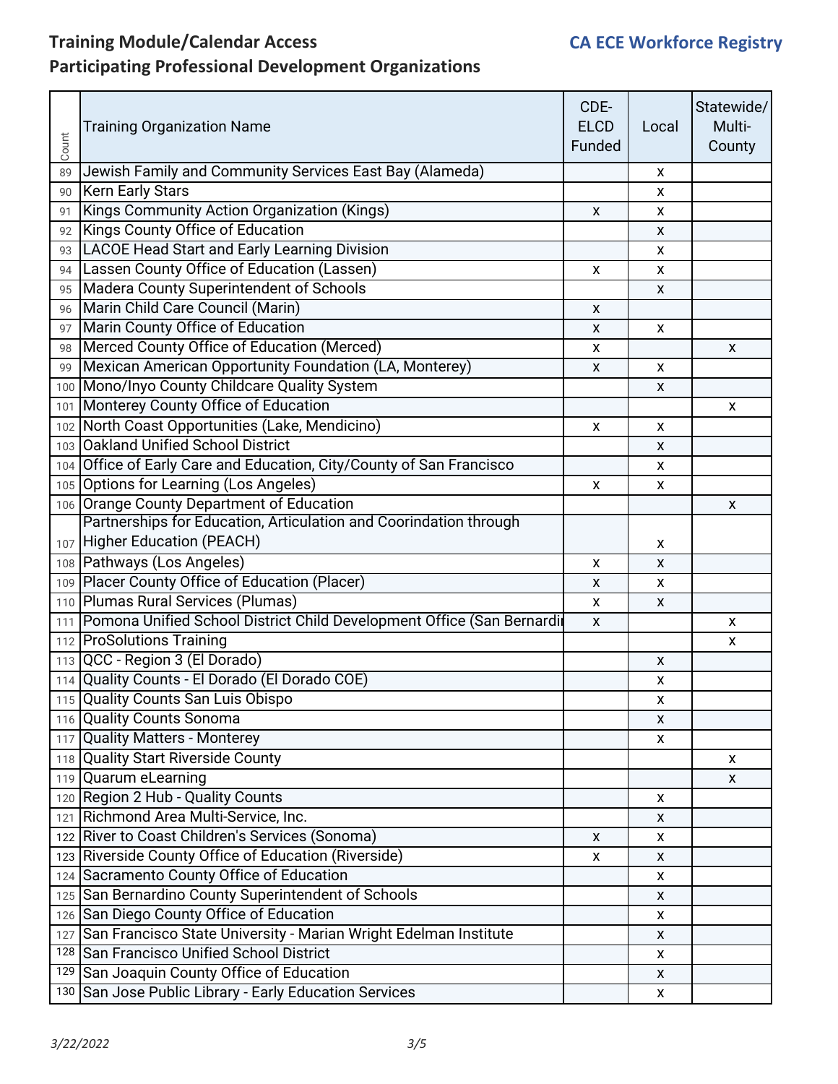| Count | <b>Training Organization Name</b>                                         | CDE-<br><b>ELCD</b><br>Funded | Local        | Statewide/<br>Multi-<br>County |
|-------|---------------------------------------------------------------------------|-------------------------------|--------------|--------------------------------|
| 89    | Jewish Family and Community Services East Bay (Alameda)                   |                               | X            |                                |
| 90    | <b>Kern Early Stars</b>                                                   |                               | X.           |                                |
| 91    | Kings Community Action Organization (Kings)                               | X                             | X            |                                |
| 92    | Kings County Office of Education                                          |                               | X.           |                                |
| 93    | <b>LACOE Head Start and Early Learning Division</b>                       |                               | X            |                                |
| 94    | Lassen County Office of Education (Lassen)                                | X                             | X            |                                |
| 95    | Madera County Superintendent of Schools                                   |                               | X.           |                                |
| 96    | Marin Child Care Council (Marin)                                          | X                             |              |                                |
| 97    | Marin County Office of Education                                          | X                             | X            |                                |
| 98    | Merced County Office of Education (Merced)                                | X                             |              | X                              |
|       | 99 Mexican American Opportunity Foundation (LA, Monterey)                 | X                             | X            |                                |
|       | 100 Mono/Inyo County Childcare Quality System                             |                               | X            |                                |
|       | 101   Monterey County Office of Education                                 |                               |              | X                              |
|       | 102 North Coast Opportunities (Lake, Mendicino)                           | X                             | $\mathsf{x}$ |                                |
|       | 103 Oakland Unified School District                                       |                               | X            |                                |
|       | 104 Office of Early Care and Education, City/County of San Francisco      |                               | X.           |                                |
|       | 105 Options for Learning (Los Angeles)                                    | X                             | X            |                                |
|       | 106 Orange County Department of Education                                 |                               |              | X                              |
|       | Partnerships for Education, Articulation and Coorindation through         |                               |              |                                |
|       | 107 Higher Education (PEACH)                                              |                               | X.           |                                |
|       | 108 Pathways (Los Angeles)                                                | X                             | X            |                                |
|       | 109 Placer County Office of Education (Placer)                            | X                             | X            |                                |
|       | 110 Plumas Rural Services (Plumas)                                        | X                             | X            |                                |
|       | 111 Pomona Unified School District Child Development Office (San Bernardi | X                             |              | X                              |
|       | 112 ProSolutions Training                                                 |                               |              | X                              |
|       | 113 QCC - Region 3 (El Dorado)                                            |                               | X            |                                |
|       | 114 Quality Counts - El Dorado (El Dorado COE)                            |                               | X            |                                |
|       | 115 Quality Counts San Luis Obispo                                        |                               | X            |                                |
|       | 116 Quality Counts Sonoma                                                 |                               | X            |                                |
|       | 117 Quality Matters - Monterey                                            |                               | X            |                                |
|       | 118 Quality Start Riverside County                                        |                               |              | X                              |
|       | 119 Quarum eLearning                                                      |                               |              | X                              |
|       | 120 Region 2 Hub - Quality Counts                                         |                               | X            |                                |
|       | 121 Richmond Area Multi-Service, Inc.                                     |                               | X            |                                |
|       | 122 River to Coast Children's Services (Sonoma)                           | X                             | X            |                                |
|       | 123 Riverside County Office of Education (Riverside)                      | X                             | X            |                                |
|       | 124 Sacramento County Office of Education                                 |                               | X            |                                |
|       | 125 San Bernardino County Superintendent of Schools                       |                               | X            |                                |
|       | 126 San Diego County Office of Education                                  |                               | X            |                                |
|       | 127 San Francisco State University - Marian Wright Edelman Institute      |                               | X            |                                |
|       | 128 San Francisco Unified School District                                 |                               | X            |                                |
|       | 129 San Joaquin County Office of Education                                |                               | X            |                                |
|       | 130 San Jose Public Library - Early Education Services                    |                               | X            |                                |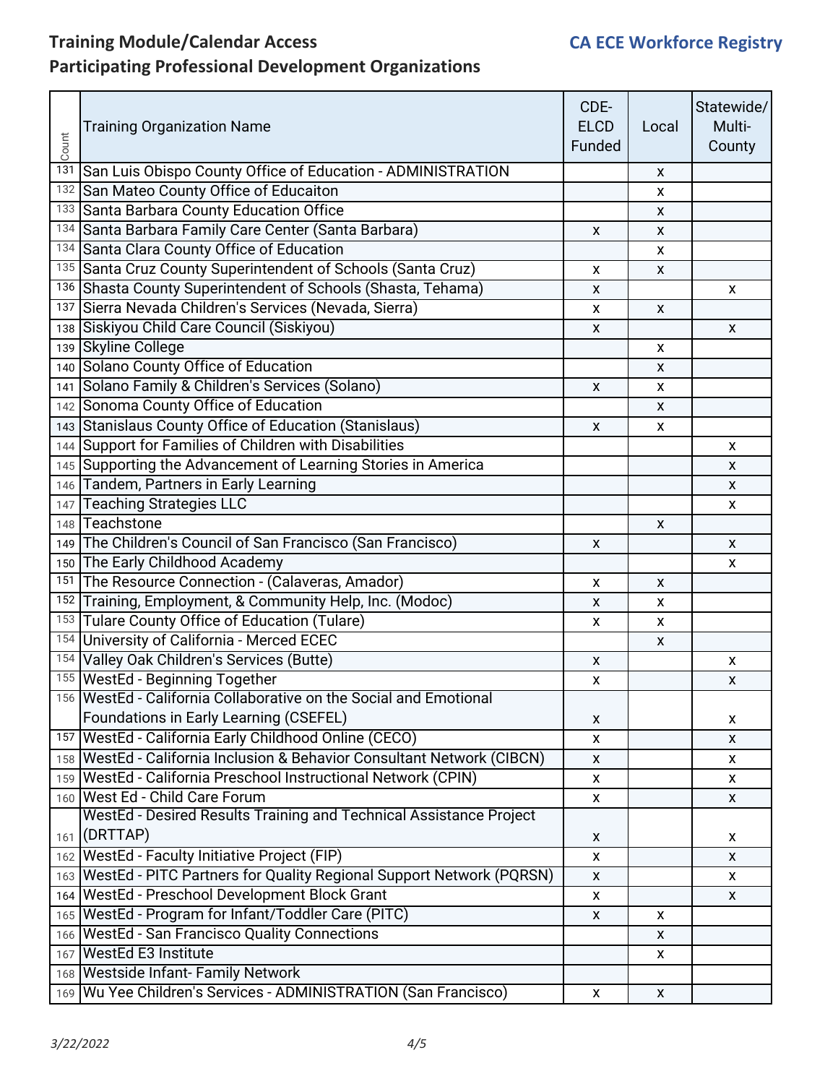| Count | <b>Training Organization Name</b>                                         | CDE-<br><b>ELCD</b><br>Funded | Local        | Statewide/<br>Multi-<br>County |
|-------|---------------------------------------------------------------------------|-------------------------------|--------------|--------------------------------|
|       | 131 San Luis Obispo County Office of Education - ADMINISTRATION           |                               | x            |                                |
|       | 132 San Mateo County Office of Educaiton                                  |                               | X            |                                |
|       | 133 Santa Barbara County Education Office                                 |                               | X            |                                |
|       | 134 Santa Barbara Family Care Center (Santa Barbara)                      | X                             | X            |                                |
|       | 134 Santa Clara County Office of Education                                |                               | X.           |                                |
|       | 135 Santa Cruz County Superintendent of Schools (Santa Cruz)              | X                             | X            |                                |
|       | 136 Shasta County Superintendent of Schools (Shasta, Tehama)              | X                             |              | X                              |
|       | 137 Sierra Nevada Children's Services (Nevada, Sierra)                    | X                             | X            |                                |
|       | 138 Siskiyou Child Care Council (Siskiyou)                                | X                             |              | X                              |
|       | 139 Skyline College                                                       |                               | X.           |                                |
|       | 140 Solano County Office of Education                                     |                               | X            |                                |
|       | 141 Solano Family & Children's Services (Solano)                          | X                             | X            |                                |
|       | 142 Sonoma County Office of Education                                     |                               | X            |                                |
|       | 143 Stanislaus County Office of Education (Stanislaus)                    | X                             | X            |                                |
|       | 144 Support for Families of Children with Disabilities                    |                               |              | X                              |
|       | 145 Supporting the Advancement of Learning Stories in America             |                               |              | X                              |
|       | 146 Tandem, Partners in Early Learning                                    |                               |              | X                              |
|       | 147 Teaching Strategies LLC                                               |                               |              | X                              |
|       | 148 Teachstone                                                            |                               | X            |                                |
|       | 149 The Children's Council of San Francisco (San Francisco)               | X                             |              | X                              |
|       | 150 The Early Childhood Academy                                           |                               |              | X                              |
|       | 151 The Resource Connection - (Calaveras, Amador)                         | X                             | X            |                                |
|       | 152 Training, Employment, & Community Help, Inc. (Modoc)                  | X                             | X            |                                |
|       | 153 Tulare County Office of Education (Tulare)                            | X                             | X            |                                |
|       | 154 University of California - Merced ECEC                                |                               | X            |                                |
|       | 154 Valley Oak Children's Services (Butte)                                | X                             |              | x                              |
|       | 155 WestEd - Beginning Together                                           | X                             |              | X                              |
|       | 156 WestEd - California Collaborative on the Social and Emotional         |                               |              |                                |
|       | Foundations in Early Learning (CSEFEL)                                    | X                             |              | x                              |
|       | 157 WestEd - California Early Childhood Online (CECO)                     | X                             |              | X                              |
|       | 158   WestEd - California Inclusion & Behavior Consultant Network (CIBCN) | X                             |              | x                              |
|       | 159   WestEd - California Preschool Instructional Network (CPIN)          | X                             |              | X                              |
|       | 160 West Ed - Child Care Forum                                            | X                             |              | X                              |
|       | WestEd - Desired Results Training and Technical Assistance Project        |                               |              |                                |
|       | 161 (DRTTAP)                                                              | X                             |              | X                              |
|       | 162   WestEd - Faculty Initiative Project (FIP)                           | $\pmb{\mathsf{X}}$            |              | $\pmb{\mathsf{X}}$             |
|       | 163   WestEd - PITC Partners for Quality Regional Support Network (PQRSN) | X                             |              | X                              |
|       | 164 WestEd - Preschool Development Block Grant                            | X                             |              | X                              |
|       | 165 WestEd - Program for Infant/Toddler Care (PITC)                       | X                             | X.           |                                |
|       | 166 WestEd - San Francisco Quality Connections                            |                               | X            |                                |
|       | 167 WestEd E3 Institute                                                   |                               | X            |                                |
|       | 168 Westside Infant-Family Network                                        |                               |              |                                |
|       | 169 Wu Yee Children's Services - ADMINISTRATION (San Francisco)           | X                             | $\mathsf{X}$ |                                |